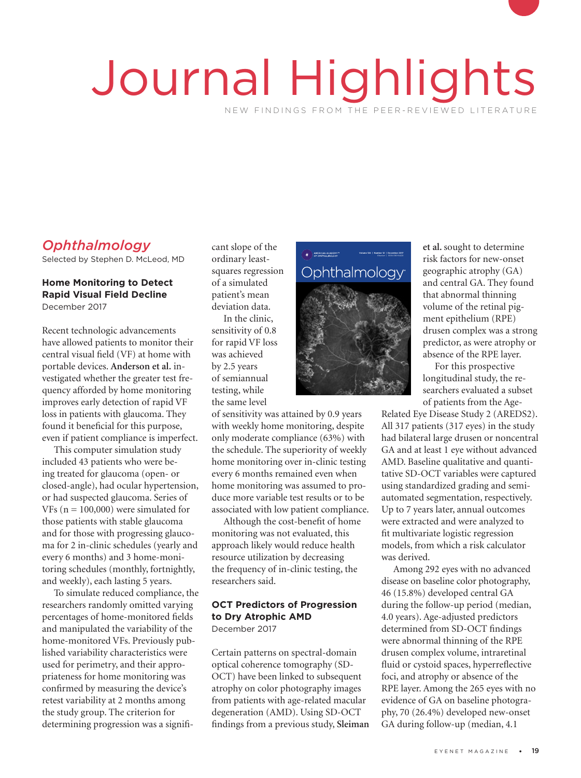# Journal Highlights NEW FINDINGS FROM THE PEER-REVIEWED LITERATURE

# *Ophthalmology*

Selected by Stephen D. McLeod, MD

## **Home Monitoring to Detect Rapid Visual Field Decline**

December 2017

Recent technologic advancements have allowed patients to monitor their central visual field (VF) at home with portable devices. **Anderson et al.** investigated whether the greater test frequency afforded by home monitoring improves early detection of rapid VF loss in patients with glaucoma. They found it beneficial for this purpose, even if patient compliance is imperfect.

This computer simulation study included 43 patients who were being treated for glaucoma (open- or closed-angle), had ocular hypertension, or had suspected glaucoma. Series of VFs ( $n = 100,000$ ) were simulated for those patients with stable glaucoma and for those with progressing glaucoma for 2 in-clinic schedules (yearly and every 6 months) and 3 home-monitoring schedules (monthly, fortnightly, and weekly), each lasting 5 years.

To simulate reduced compliance, the researchers randomly omitted varying percentages of home-monitored fields and manipulated the variability of the home-monitored VFs. Previously published variability characteristics were used for perimetry, and their appropriateness for home monitoring was confirmed by measuring the device's retest variability at 2 months among the study group. The criterion for determining progression was a significant slope of the ordinary leastsquares regression of a simulated patient's mean deviation data.

In the clinic, deviation data.<br>In the clinic,<br>sensitivity of 0.8 for rapid VF loss was achieved by 2.5 years of semiannual testing, while VF the same level

> of sensitivity was attained by 0.9 years with weekly home monitoring, despite only moderate compliance (63%) with the schedule. The superiority of weekly home monitoring over in-clinic testing every 6 months remained even when home monitoring was assumed to produce more variable test results or to be associated with low patient compliance.

Although the cost-benefit of home monitoring was not evaluated, this approach likely would reduce health resource utilization by decreasing the frequency of in-clinic testing, the researchers said.

## **OCT Predictors of Progression to Dry Atrophic AMD**

December 2017

Certain patterns on spectral-domain optical coherence tomography (SD-OCT) have been linked to subsequent atrophy on color photography images from patients with age-related macular degeneration (AMD). Using SD-OCT findings from a previous study, **Sleiman**



**et al.** sought to determine risk factors for new-onset geographic atrophy (GA) and central GA. They found that abnormal thinning volume of the retinal pigment epithelium (RPE) drusen complex was a strong predictor, as were atrophy or absence of the RPE layer.

For this prospective longitudinal study, the researchers evaluated a subset of patients from the Age-

Related Eye Disease Study 2 (AREDS2). All 317 patients (317 eyes) in the study had bilateral large drusen or noncentral GA and at least 1 eye without advanced AMD. Baseline qualitative and quantitative SD-OCT variables were captured using standardized grading and semiautomated segmentation, respectively. Up to 7 years later, annual outcomes were extracted and were analyzed to fit multivariate logistic regression models, from which a risk calculator was derived.

Among 292 eyes with no advanced disease on baseline color photography, 46 (15.8%) developed central GA during the follow-up period (median, 4.0 years). Age-adjusted predictors determined from SD-OCT findings were abnormal thinning of the RPE drusen complex volume, intraretinal fluid or cystoid spaces, hyperreflective foci, and atrophy or absence of the RPE layer. Among the 265 eyes with no evidence of GA on baseline photography, 70 (26.4%) developed new-onset GA during follow-up (median, 4.1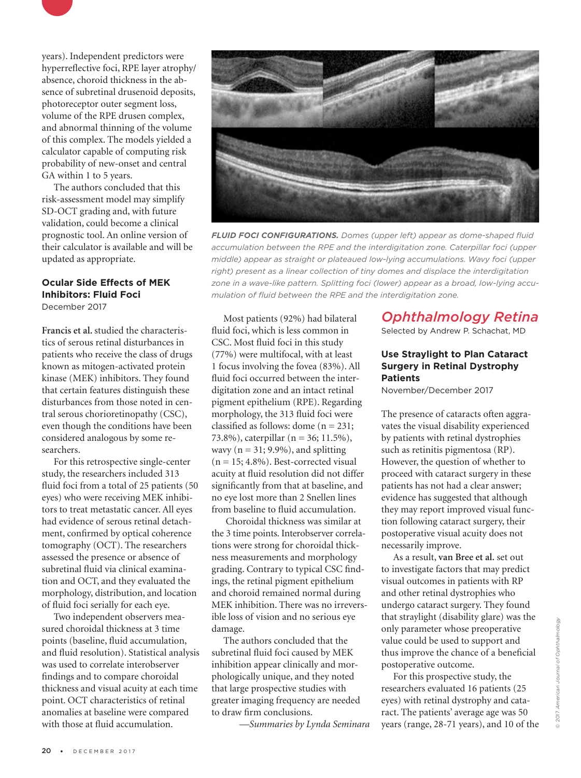

The authors concluded that this risk-assessment model may simplify SD-OCT grading and, with future validation, could become a clinical prognostic tool. An online version of their calculator is available and will be updated as appropriate.

## **Ocular Side Effects of MEK Inhibitors: Fluid Foci**

December 2017

**Francis et al.** studied the characteristics of serous retinal disturbances in patients who receive the class of drugs known as mitogen-activated protein kinase (MEK) inhibitors. They found that certain features distinguish these disturbances from those noted in central serous chorioretinopathy (CSC), even though the conditions have been considered analogous by some researchers.

For this retrospective single-center study, the researchers included 313 fluid foci from a total of 25 patients (50 eyes) who were receiving MEK inhibitors to treat metastatic cancer. All eyes had evidence of serous retinal detachment, confirmed by optical coherence tomography (OCT). The researchers assessed the presence or absence of subretinal fluid via clinical examination and OCT, and they evaluated the morphology, distribution, and location of fluid foci serially for each eye.

Two independent observers measured choroidal thickness at 3 time points (baseline, fluid accumulation, and fluid resolution). Statistical analysis was used to correlate interobserver findings and to compare choroidal thickness and visual acuity at each time point. OCT characteristics of retinal anomalies at baseline were compared with those at fluid accumulation.



*FLUID FOCI CONFIGURATIONS. Domes (upper left) appear as dome-shaped fluid accumulation between the RPE and the interdigitation zone. Caterpillar foci (upper middle) appear as straight or plateaued low-lying accumulations. Wavy foci (upper right) present as a linear collection of tiny domes and displace the interdigitation zone in a wave-like pattern. Splitting foci (lower) appear as a broad, low-lying accumulation of fluid between the RPE and the interdigitation zone.* 

Most patients (92%) had bilateral fluid foci, which is less common in CSC. Most fluid foci in this study (77%) were multifocal, with at least 1 focus involving the fovea (83%). All fluid foci occurred between the interdigitation zone and an intact retinal pigment epithelium (RPE). Regarding morphology, the 313 fluid foci were classified as follows: dome (n = 231; 73.8%), caterpillar (n = 36; 11.5%), wavy ( $n = 31$ ; 9.9%), and splitting  $(n = 15; 4.8\%)$ . Best-corrected visual acuity at fluid resolution did not differ significantly from that at baseline, and no eye lost more than 2 Snellen lines from baseline to fluid accumulation.

 Choroidal thickness was similar at the 3 time points. Interobserver correlations were strong for choroidal thickness measurements and morphology grading. Contrary to typical CSC findings, the retinal pigment epithelium and choroid remained normal during MEK inhibition. There was no irreversible loss of vision and no serious eye damage.

The authors concluded that the subretinal fluid foci caused by MEK inhibition appear clinically and morphologically unique, and they noted that large prospective studies with greater imaging frequency are needed to draw firm conclusions.

 *—Summaries by Lynda Seminara*

*Ophthalmology Retina*

Selected by Andrew P. Schachat, MD

#### **Use Straylight to Plan Cataract Surgery in Retinal Dystrophy Patients**

November/December 2017

The presence of cataracts often aggravates the visual disability experienced by patients with retinal dystrophies such as retinitis pigmentosa (RP). However, the question of whether to proceed with cataract surgery in these patients has not had a clear answer; evidence has suggested that although they may report improved visual function following cataract surgery, their postoperative visual acuity does not necessarily improve.

As a result, **van Bree et al.** set out to investigate factors that may predict visual outcomes in patients with RP and other retinal dystrophies who undergo cataract surgery. They found that straylight (disability glare) was the only parameter whose preoperative value could be used to support and thus improve the chance of a beneficial postoperative outcome.

For this prospective study, the researchers evaluated 16 patients (25 eyes) with retinal dystrophy and cataract. The patients' average age was 50 years (range, 28-71 years), and 10 of the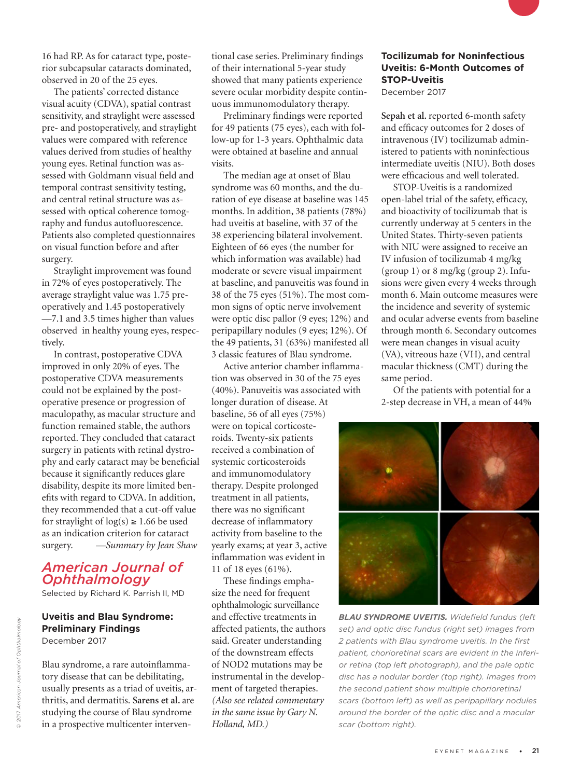16 had RP. As for cataract type, posterior subcapsular cataracts dominated, observed in 20 of the 25 eyes.

The patients' corrected distance visual acuity (CDVA), spatial contrast sensitivity, and straylight were assessed pre- and postoperatively, and straylight values were compared with reference values derived from studies of healthy young eyes. Retinal function was assessed with Goldmann visual field and temporal contrast sensitivity testing, and central retinal structure was assessed with optical coherence tomography and fundus autofluorescence. Patients also completed questionnaires on visual function before and after surgery.

Straylight improvement was found in 72% of eyes postoperatively. The average straylight value was 1.75 preoperatively and 1.45 postoperatively —7.1 and 3.5 times higher than values observed in healthy young eyes, respectively.

In contrast, postoperative CDVA improved in only 20% of eyes. The postoperative CDVA measurements could not be explained by the postoperative presence or progression of maculopathy, as macular structure and function remained stable, the authors reported. They concluded that cataract surgery in patients with retinal dystrophy and early cataract may be beneficial because it significantly reduces glare disability, despite its more limited benefits with regard to CDVA. In addition, they recommended that a cut-off value for straylight of  $log(s) \ge 1.66$  be used as an indication criterion for cataract surgery. *—Summary by Jean Shaw*

#### *American Journal of Ophthalmology*

Selected by Richard K. Parrish II, MD

## **Uveitis and Blau Syndrome: Preliminary Findings**

December 2017

Blau syndrome, a rare autoinflammatory disease that can be debilitating, usually presents as a triad of uveitis, arthritis, and dermatitis. **Sarens et al.** are studying the course of Blau syndrome in a prospective multicenter interventional case series. Preliminary findings of their international 5-year study showed that many patients experience severe ocular morbidity despite continuous immunomodulatory therapy.

Preliminary findings were reported for 49 patients (75 eyes), each with follow-up for 1-3 years. Ophthalmic data were obtained at baseline and annual visits.

The median age at onset of Blau syndrome was 60 months, and the duration of eye disease at baseline was 145 months. In addition, 38 patients (78%) had uveitis at baseline, with 37 of the 38 experiencing bilateral involvement. Eighteen of 66 eyes (the number for which information was available) had moderate or severe visual impairment at baseline, and panuveitis was found in 38 of the 75 eyes (51%). The most common signs of optic nerve involvement were optic disc pallor (9 eyes; 12%) and peripapillary nodules (9 eyes; 12%). Of the 49 patients, 31 (63%) manifested all 3 classic features of Blau syndrome.

Active anterior chamber inflammation was observed in 30 of the 75 eyes (40%). Panuveitis was associated with longer duration of disease. At baseline, 56 of all eyes (75%) were on topical corticosteroids. Twenty-six patients received a combination of systemic corticosteroids and immunomodulatory therapy. Despite prolonged treatment in all patients, there was no significant decrease of inflammatory activity from baseline to the yearly exams; at year 3, active inflammation was evident in 11 of 18 eyes (61%).

These findings emphasize the need for frequent ophthalmologic surveillance and effective treatments in affected patients, the authors said. Greater understanding of the downstream effects of NOD2 mutations may be instrumental in the development of targeted therapies. *(Also see related commentary in the same issue by Gary N. Holland, MD.)*

### **Tocilizumab for Noninfectious Uveitis: 6-Month Outcomes of STOP-Uveitis**

December 2017

**Sepah et al.** reported 6-month safety and efficacy outcomes for 2 doses of intravenous (IV) tocilizumab administered to patients with noninfectious intermediate uveitis (NIU). Both doses were efficacious and well tolerated.

STOP-Uveitis is a randomized open-label trial of the safety, efficacy, and bioactivity of tocilizumab that is currently underway at 5 centers in the United States. Thirty-seven patients with NIU were assigned to receive an IV infusion of tocilizumab 4 mg/kg (group 1) or 8 mg/kg (group 2). Infusions were given every 4 weeks through month 6. Main outcome measures were the incidence and severity of systemic and ocular adverse events from baseline through month 6. Secondary outcomes were mean changes in visual acuity (VA), vitreous haze (VH), and central macular thickness (CMT) during the same period.

Of the patients with potential for a 2-step decrease in VH, a mean of 44%



*BLAU SYNDROME UVEITIS. Widefield fundus (left set) and optic disc fundus (right set) images from 2 patients with Blau syndrome uveitis. In the first patient, chorioretinal scars are evident in the inferior retina (top left photograph), and the pale optic disc has a nodular border (top right). Images from the second patient show multiple chorioretinal scars (bottom left) as well as peripapillary nodules around the border of the optic disc and a macular scar (bottom right).*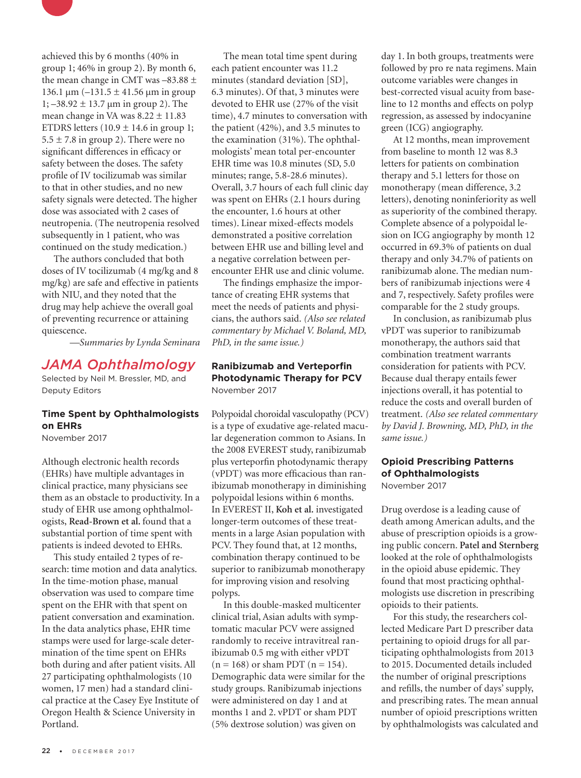

achieved this by 6 months (40% in group 1; 46% in group 2). By month 6, the mean change in CMT was  $-83.88 \pm$ 136.1 μm  $(-131.5 \pm 41.56 \mu m)$  in group  $1; -38.92 \pm 13.7 \,\mathrm{\upmu m}$  in group 2). The mean change in VA was  $8.22 \pm 11.83$ ETDRS letters  $(10.9 \pm 14.6 \text{ in group 1};$  $5.5 \pm 7.8$  in group 2). There were no significant differences in efficacy or safety between the doses. The safety profile of IV tocilizumab was similar to that in other studies, and no new safety signals were detected. The higher dose was associated with 2 cases of neutropenia. (The neutropenia resolved subsequently in 1 patient, who was continued on the study medication.)

The authors concluded that both doses of IV tocilizumab (4 mg/kg and 8 mg/kg) are safe and effective in patients with NIU, and they noted that the drug may help achieve the overall goal of preventing recurrence or attaining quiescence.

*—Summaries by Lynda Seminara*

#### *JAMA Ophthalmology*

Selected by Neil M. Bressler, MD, and Deputy Editors

#### **Time Spent by Ophthalmologists on EHRs**

November 2017

Although electronic health records (EHRs) have multiple advantages in clinical practice, many physicians see them as an obstacle to productivity. In a study of EHR use among ophthalmologists, **Read-Brown et al.** found that a substantial portion of time spent with patients is indeed devoted to EHRs.

This study entailed 2 types of research: time motion and data analytics. In the time-motion phase, manual observation was used to compare time spent on the EHR with that spent on patient conversation and examination. In the data analytics phase, EHR time stamps were used for large-scale determination of the time spent on EHRs both during and after patient visits. All 27 participating ophthalmologists (10 women, 17 men) had a standard clinical practice at the Casey Eye Institute of Oregon Health & Science University in Portland.

The mean total time spent during each patient encounter was 11.2 minutes (standard deviation [SD], 6.3 minutes). Of that, 3 minutes were devoted to EHR use (27% of the visit time), 4.7 minutes to conversation with the patient (42%), and 3.5 minutes to the examination (31%). The ophthalmologists' mean total per-encounter EHR time was 10.8 minutes (SD, 5.0 minutes; range, 5.8-28.6 minutes). Overall, 3.7 hours of each full clinic day was spent on EHRs (2.1 hours during the encounter, 1.6 hours at other times). Linear mixed-effects models demonstrated a positive correlation between EHR use and billing level and a negative correlation between perencounter EHR use and clinic volume.

The findings emphasize the importance of creating EHR systems that meet the needs of patients and physicians, the authors said. *(Also see related commentary by Michael V. Boland, MD, PhD, in the same issue.)* 

#### **Ranibizumab and Verteporfin Photodynamic Therapy for PCV** November 2017

Polypoidal choroidal vasculopathy (PCV) is a type of exudative age-related macular degeneration common to Asians. In the 2008 EVEREST study, ranibizumab plus verteporfin photodynamic therapy (vPDT) was more efficacious than ranibizumab monotherapy in diminishing polypoidal lesions within 6 months. In EVEREST II, **Koh et al.** investigated longer-term outcomes of these treatments in a large Asian population with PCV. They found that, at 12 months, combination therapy continued to be superior to ranibizumab monotherapy for improving vision and resolving polyps.

In this double-masked multicenter clinical trial, Asian adults with symptomatic macular PCV were assigned randomly to receive intravitreal ranibizumab 0.5 mg with either vPDT  $(n = 168)$  or sham PDT  $(n = 154)$ . Demographic data were similar for the study groups. Ranibizumab injections were administered on day 1 and at months 1 and 2. vPDT or sham PDT (5% dextrose solution) was given on

day 1. In both groups, treatments were followed by pro re nata regimens. Main outcome variables were changes in best-corrected visual acuity from baseline to 12 months and effects on polyp regression, as assessed by indocyanine green (ICG) angiography.

At 12 months, mean improvement from baseline to month 12 was 8.3 letters for patients on combination therapy and 5.1 letters for those on monotherapy (mean difference, 3.2 letters), denoting noninferiority as well as superiority of the combined therapy. Complete absence of a polypoidal lesion on ICG angiography by month 12 occurred in 69.3% of patients on dual therapy and only 34.7% of patients on ranibizumab alone. The median numbers of ranibizumab injections were 4 and 7, respectively. Safety profiles were comparable for the 2 study groups.

In conclusion, as ranibizumab plus vPDT was superior to ranibizumab monotherapy, the authors said that combination treatment warrants consideration for patients with PCV. Because dual therapy entails fewer injections overall, it has potential to reduce the costs and overall burden of treatment. *(Also see related commentary by David J. Browning, MD, PhD, in the same issue.)*

## **Opioid Prescribing Patterns of Ophthalmologists**

November 2017

Drug overdose is a leading cause of death among American adults, and the abuse of prescription opioids is a growing public concern. **Patel and Sternberg** looked at the role of ophthalmologists in the opioid abuse epidemic. They found that most practicing ophthalmologists use discretion in prescribing opioids to their patients.

For this study, the researchers collected Medicare Part D prescriber data pertaining to opioid drugs for all participating ophthalmologists from 2013 to 2015. Documented details included the number of original prescriptions and refills, the number of days' supply, and prescribing rates. The mean annual number of opioid prescriptions written by ophthalmologists was calculated and